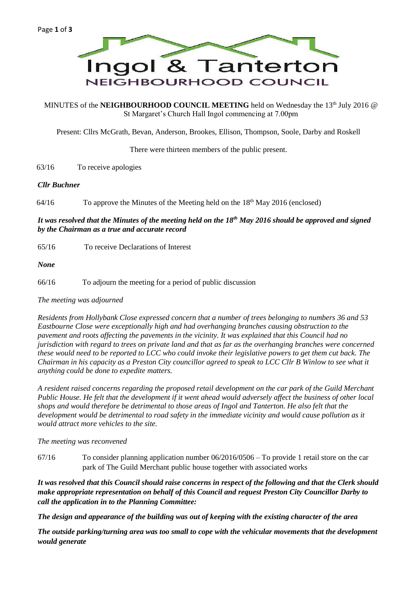

## MINUTES of the **NEIGHBOURHOOD COUNCIL MEETING** held on Wednesday the 13<sup>th</sup> July 2016 @ St Margaret's Church Hall Ingol commencing at 7.00pm

Present: Cllrs McGrath, Bevan, Anderson, Brookes, Ellison, Thompson, Soole, Darby and Roskell

There were thirteen members of the public present.

63/16 To receive apologies

## *Cllr Buchner*

64/16 To approve the Minutes of the Meeting held on the  $18<sup>th</sup>$  May 2016 (enclosed)

*It was resolved that the Minutes of the meeting held on the 18th May 2016 should be approved and signed by the Chairman as a true and accurate record*

65/16 To receive Declarations of Interest

*None*

66/16 To adjourn the meeting for a period of public discussion

*The meeting was adjourned* 

*Residents from Hollybank Close expressed concern that a number of trees belonging to numbers 36 and 53 Eastbourne Close were exceptionally high and had overhanging branches causing obstruction to the pavement and roots affecting the pavements in the vicinity. It was explained that this Council had no jurisdiction with regard to trees on private land and that as far as the overhanging branches were concerned these would need to be reported to LCC who could invoke their legislative powers to get them cut back. The Chairman in his capacity as a Preston City councillor agreed to speak to LCC Cllr B Winlow to see what it anything could be done to expedite matters.*

*A resident raised concerns regarding the proposed retail development on the car park of the Guild Merchant Public House. He felt that the development if it went ahead would adversely affect the business of other local shops and would therefore be detrimental to those areas of Ingol and Tanterton. He also felt that the development would be detrimental to road safety in the immediate vicinity and would cause pollution as it would attract more vehicles to the site.*

*The meeting was reconvened*

67/16 To consider planning application number 06/2016/0506 – To provide 1 retail store on the car park of The Guild Merchant public house together with associated works

*It was resolved that this Council should raise concerns in respect of the following and that the Clerk should make appropriate representation on behalf of this Council and request Preston City Councillor Darby to call the application in to the Planning Committee:*

*The design and appearance of the building was out of keeping with the existing character of the area*

*The outside parking/turning area was too small to cope with the vehicular movements that the development would generate*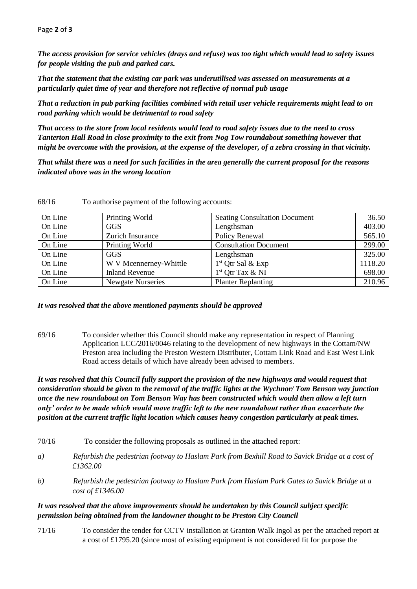*The access provision for service vehicles (drays and refuse) was too tight which would lead to safety issues for people visiting the pub and parked cars.*

*That the statement that the existing car park was underutilised was assessed on measurements at a particularly quiet time of year and therefore not reflective of normal pub usage*

*That a reduction in pub parking facilities combined with retail user vehicle requirements might lead to on road parking which would be detrimental to road safety* 

*That access to the store from local residents would lead to road safety issues due to the need to cross Tanterton Hall Road in close proximity to the exit from Nog Tow roundabout something however that might be overcome with the provision, at the expense of the developer, of a zebra crossing in that vicinity.*

*That whilst there was a need for such facilities in the area generally the current proposal for the reasons indicated above was in the wrong location*

| On Line | Printing World           | <b>Seating Consultation Document</b> | 36.50   |
|---------|--------------------------|--------------------------------------|---------|
| On Line | <b>GGS</b>               | Lengthsman                           | 403.00  |
| On Line | Zurich Insurance         | Policy Renewal                       | 565.10  |
| On Line | Printing World           | <b>Consultation Document</b>         | 299.00  |
| On Line | <b>GGS</b>               | Lengthsman                           | 325.00  |
| On Line | W V Mcennerney-Whittle   | $1st$ Qtr Sal & Exp                  | 1118.20 |
| On Line | <b>Inland Revenue</b>    | 1 <sup>st</sup> Otr Tax & NI         | 698.00  |
| On Line | <b>Newgate Nurseries</b> | <b>Planter Replanting</b>            | 210.96  |

68/16 To authorise payment of the following accounts:

### *It was resolved that the above mentioned payments should be approved*

69/16 To consider whether this Council should make any representation in respect of Planning Application LCC/2016/0046 relating to the development of new highways in the Cottam/NW Preston area including the Preston Western Distributer, Cottam Link Road and East West Link Road access details of which have already been advised to members.

*It was resolved that this Council fully support the provision of the new highways and would request that consideration should be given to the removal of the traffic lights at the Wychnor/ Tom Benson way junction once the new roundabout on Tom Benson Way has been constructed which would then allow a left turn only' order to be made which would move traffic left to the new roundabout rather than exacerbate the position at the current traffic light location which causes heavy congestion particularly at peak times.*

- 70/16 To consider the following proposals as outlined in the attached report:
- *a) Refurbish the pedestrian footway to Haslam Park from Bexhill Road to Savick Bridge at a cost of £1362.00*
- *b) Refurbish the pedestrian footway to Haslam Park from Haslam Park Gates to Savick Bridge at a cost of £1346.00*

# *It was resolved that the above improvements should be undertaken by this Council subject specific permission being obtained from the landowner thought to be Preston City Council*

71/16 To consider the tender for CCTV installation at Granton Walk Ingol as per the attached report at a cost of £1795.20 (since most of existing equipment is not considered fit for purpose the